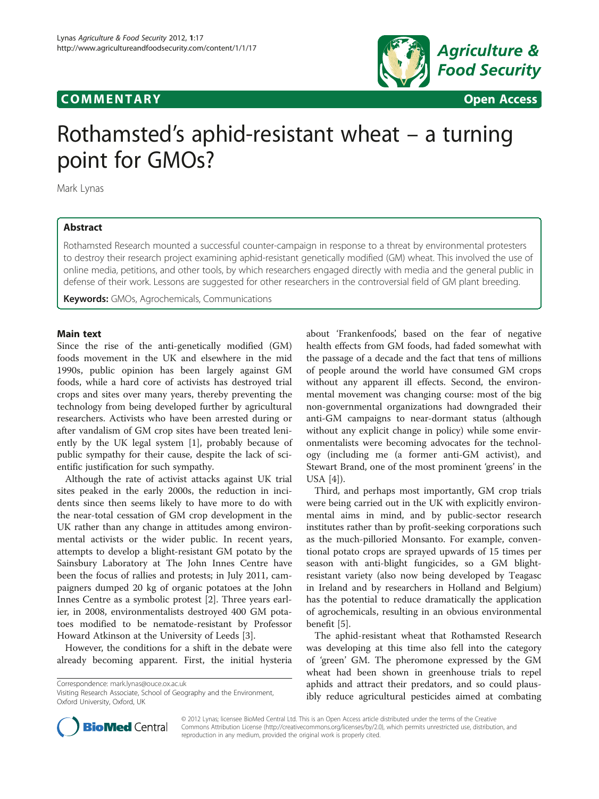# COMM EN TARY Open Access



# Rothamsted's aphid-resistant wheat – a turning point for GMOs?

Mark Lynas

## Abstract

Rothamsted Research mounted a successful counter-campaign in response to a threat by environmental protesters to destroy their research project examining aphid-resistant genetically modified (GM) wheat. This involved the use of online media, petitions, and other tools, by which researchers engaged directly with media and the general public in defense of their work. Lessons are suggested for other researchers in the controversial field of GM plant breeding.

Keywords: GMOs, Agrochemicals, Communications

## Main text

Since the rise of the anti-genetically modified (GM) foods movement in the UK and elsewhere in the mid 1990s, public opinion has been largely against GM foods, while a hard core of activists has destroyed trial crops and sites over many years, thereby preventing the technology from being developed further by agricultural researchers. Activists who have been arrested during or after vandalism of GM crop sites have been treated leniently by the UK legal system [[1\]](#page-2-0), probably because of public sympathy for their cause, despite the lack of scientific justification for such sympathy.

Although the rate of activist attacks against UK trial sites peaked in the early 2000s, the reduction in incidents since then seems likely to have more to do with the near-total cessation of GM crop development in the UK rather than any change in attitudes among environmental activists or the wider public. In recent years, attempts to develop a blight-resistant GM potato by the Sainsbury Laboratory at The John Innes Centre have been the focus of rallies and protests; in July 2011, campaigners dumped 20 kg of organic potatoes at the John Innes Centre as a symbolic protest [[2\]](#page-2-0). Three years earlier, in 2008, environmentalists destroyed 400 GM potatoes modified to be nematode-resistant by Professor Howard Atkinson at the University of Leeds [[3\]](#page-2-0).

However, the conditions for a shift in the debate were already becoming apparent. First, the initial hysteria

Correspondence: [mark.lynas@ouce.ox.ac.uk](mailto:mark.lynas@ouce.ox.ac.uk)

about 'Frankenfoods', based on the fear of negative health effects from GM foods, had faded somewhat with the passage of a decade and the fact that tens of millions of people around the world have consumed GM crops without any apparent ill effects. Second, the environmental movement was changing course: most of the big non-governmental organizations had downgraded their anti-GM campaigns to near-dormant status (although without any explicit change in policy) while some environmentalists were becoming advocates for the technology (including me (a former anti-GM activist), and Stewart Brand, one of the most prominent 'greens' in the USA [[4\]](#page-2-0)).

Third, and perhaps most importantly, GM crop trials were being carried out in the UK with explicitly environmental aims in mind, and by public-sector research institutes rather than by profit-seeking corporations such as the much-pilloried Monsanto. For example, conventional potato crops are sprayed upwards of 15 times per season with anti-blight fungicides, so a GM blightresistant variety (also now being developed by Teagasc in Ireland and by researchers in Holland and Belgium) has the potential to reduce dramatically the application of agrochemicals, resulting in an obvious environmental benefit [[5\]](#page-2-0).

The aphid-resistant wheat that Rothamsted Research was developing at this time also fell into the category of 'green' GM. The pheromone expressed by the GM wheat had been shown in greenhouse trials to repel aphids and attract their predators, and so could plausibly reduce agricultural pesticides aimed at combating



© 2012 Lynas; licensee BioMed Central Ltd. This is an Open Access article distributed under the terms of the Creative Commons Attribution License [\(http://creativecommons.org/licenses/by/2.0\)](http://creativecommons.org/licenses/by/2.0), which permits unrestricted use, distribution, and reproduction in any medium, provided the original work is properly cited.

Visiting Research Associate, School of Geography and the Environment, Oxford University, Oxford, UK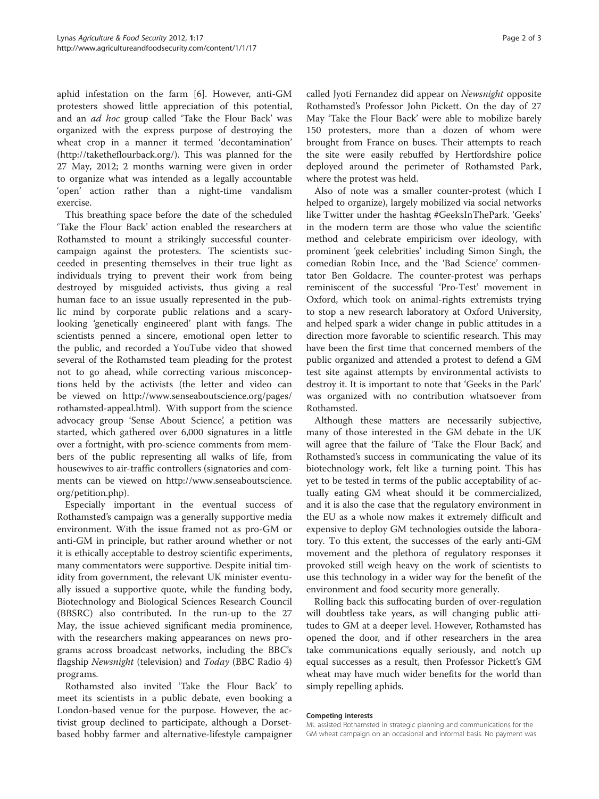aphid infestation on the farm [[6\]](#page-2-0). However, anti-GM protesters showed little appreciation of this potential, and an ad hoc group called 'Take the Flour Back' was organized with the express purpose of destroying the wheat crop in a manner it termed 'decontamination' (<http://taketheflourback.org/>). This was planned for the 27 May, 2012; 2 months warning were given in order to organize what was intended as a legally accountable 'open' action rather than a night-time vandalism exercise.

This breathing space before the date of the scheduled 'Take the Flour Back' action enabled the researchers at Rothamsted to mount a strikingly successful countercampaign against the protesters. The scientists succeeded in presenting themselves in their true light as individuals trying to prevent their work from being destroyed by misguided activists, thus giving a real human face to an issue usually represented in the public mind by corporate public relations and a scarylooking 'genetically engineered' plant with fangs. The scientists penned a sincere, emotional open letter to the public, and recorded a YouTube video that showed several of the Rothamsted team pleading for the protest not to go ahead, while correcting various misconceptions held by the activists (the letter and video can be viewed on [http://www.senseaboutscience.org/pages/](http://www.senseaboutscience.org/pages/rothamsted-appeal.html) [rothamsted-appeal.html](http://www.senseaboutscience.org/pages/rothamsted-appeal.html)). With support from the science advocacy group 'Sense About Science', a petition was started, which gathered over 6,000 signatures in a little over a fortnight, with pro-science comments from members of the public representing all walks of life, from housewives to air-traffic controllers (signatories and comments can be viewed on [http://www.senseaboutscience.](http://www.senseaboutscience.org/petition.php) [org/petition.php](http://www.senseaboutscience.org/petition.php)).

Especially important in the eventual success of Rothamsted's campaign was a generally supportive media environment. With the issue framed not as pro-GM or anti-GM in principle, but rather around whether or not it is ethically acceptable to destroy scientific experiments, many commentators were supportive. Despite initial timidity from government, the relevant UK minister eventually issued a supportive quote, while the funding body, Biotechnology and Biological Sciences Research Council (BBSRC) also contributed. In the run-up to the 27 May, the issue achieved significant media prominence, with the researchers making appearances on news programs across broadcast networks, including the BBC's flagship Newsnight (television) and Today (BBC Radio 4) programs.

Rothamsted also invited 'Take the Flour Back' to meet its scientists in a public debate, even booking a London-based venue for the purpose. However, the activist group declined to participate, although a Dorsetbased hobby farmer and alternative-lifestyle campaigner called Jyoti Fernandez did appear on Newsnight opposite Rothamsted's Professor John Pickett. On the day of 27 May 'Take the Flour Back' were able to mobilize barely 150 protesters, more than a dozen of whom were brought from France on buses. Their attempts to reach the site were easily rebuffed by Hertfordshire police deployed around the perimeter of Rothamsted Park, where the protest was held.

Also of note was a smaller counter-protest (which I helped to organize), largely mobilized via social networks like Twitter under the hashtag #GeeksInThePark. 'Geeks' in the modern term are those who value the scientific method and celebrate empiricism over ideology, with prominent 'geek celebrities' including Simon Singh, the comedian Robin Ince, and the 'Bad Science' commentator Ben Goldacre. The counter-protest was perhaps reminiscent of the successful 'Pro-Test' movement in Oxford, which took on animal-rights extremists trying to stop a new research laboratory at Oxford University, and helped spark a wider change in public attitudes in a direction more favorable to scientific research. This may have been the first time that concerned members of the public organized and attended a protest to defend a GM test site against attempts by environmental activists to destroy it. It is important to note that 'Geeks in the Park' was organized with no contribution whatsoever from Rothamsted.

Although these matters are necessarily subjective, many of those interested in the GM debate in the UK will agree that the failure of 'Take the Flour Back', and Rothamsted's success in communicating the value of its biotechnology work, felt like a turning point. This has yet to be tested in terms of the public acceptability of actually eating GM wheat should it be commercialized, and it is also the case that the regulatory environment in the EU as a whole now makes it extremely difficult and expensive to deploy GM technologies outside the laboratory. To this extent, the successes of the early anti-GM movement and the plethora of regulatory responses it provoked still weigh heavy on the work of scientists to use this technology in a wider way for the benefit of the environment and food security more generally.

Rolling back this suffocating burden of over-regulation will doubtless take years, as will changing public attitudes to GM at a deeper level. However, Rothamsted has opened the door, and if other researchers in the area take communications equally seriously, and notch up equal successes as a result, then Professor Pickett's GM wheat may have much wider benefits for the world than simply repelling aphids.

#### Competing interests

ML assisted Rothamsted in strategic planning and communications for the GM wheat campaign on an occasional and informal basis. No payment was